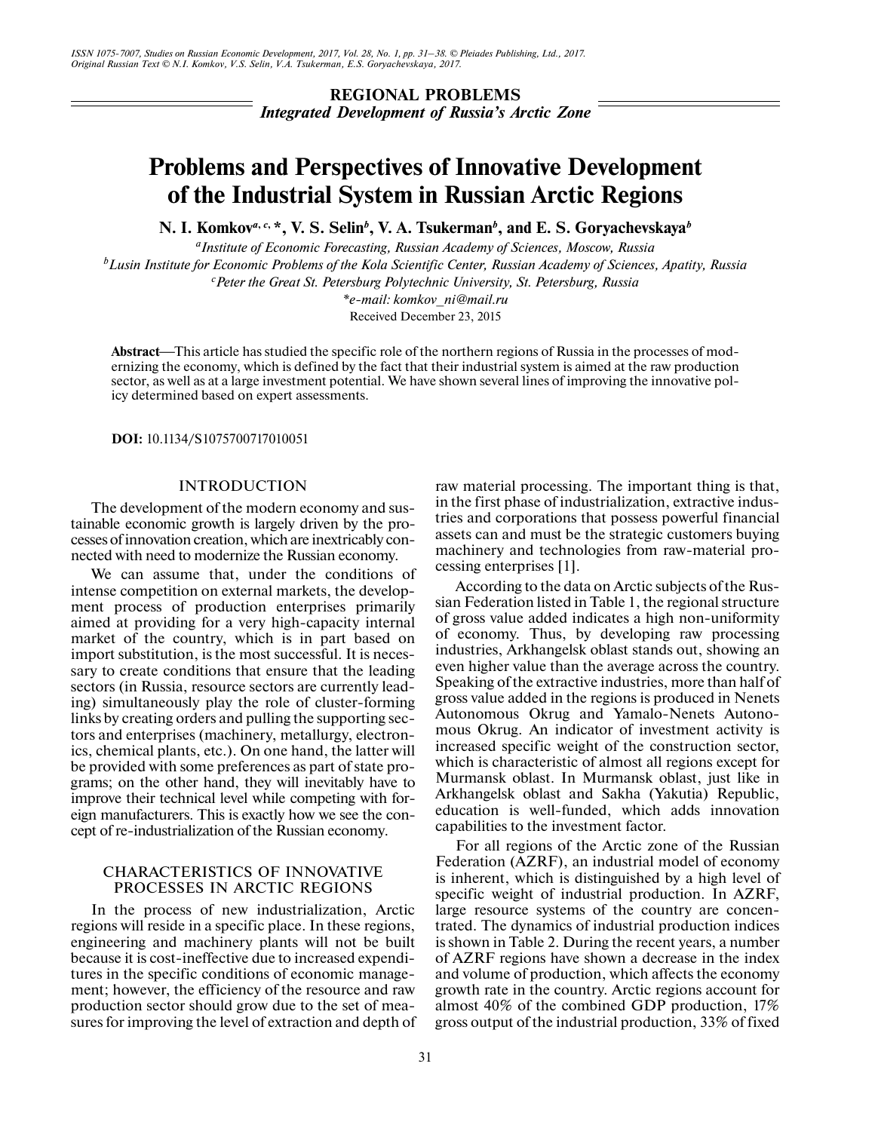**REGIONAL PROBLEMS** *Integrated Development of Russia's Arctic Zone*

# **Problems and Perspectives of Innovative Development of the Industrial System in Russian Arctic Regions**

**N. I. Komkov***a***,** *c***, \*, V. S. Selin***<sup>b</sup>* **, V. A. Tsukerman***<sup>b</sup>* **, and E. S. Goryachevskaya***<sup>b</sup>*

*aInstitute of Economic Forecasting, Russian Academy of Sciences, Moscow, Russia b Lusin Institute for Economic Problems of the Kola Scientific Center, Russian Academy of Sciences, Apatity, Russia c Peter the Great St. Petersburg Polytechnic University, St. Petersburg, Russia*

*\*e-mail: komkov\_ni@mail.ru*

Received December 23, 2015

Abstract—This article has studied the specific role of the northern regions of Russia in the processes of modernizing the economy, which is defined by the fact that their industrial system is aimed at the raw production sector, as well as at a large investment potential. We have shown several lines of improving the innovative policy determined based on expert assessments.

**DOI:** 10.1134/S1075700717010051

# INTRODUCTION

The development of the modern economy and sustainable economic growth is largely driven by the processes of innovation creation, which are inextricably connected with need to modernize the Russian economy.

We can assume that, under the conditions of intense competition on external markets, the development process of production enterprises primarily aimed at providing for a very high-capacity internal market of the country, which is in part based on import substitution, is the most successful. It is necessary to create conditions that ensure that the leading sectors (in Russia, resource sectors are currently leading) simultaneously play the role of cluster-forming links by creating orders and pulling the supporting sectors and enterprises (machinery, metallurgy, electronics, chemical plants, etc.). On one hand, the latter will be provided with some preferences as part of state programs; on the other hand, they will inevitably have to improve their technical level while competing with foreign manufacturers. This is exactly how we see the concept of re-industrialization of the Russian economy.

# CHARACTERISTICS OF INNOVATIVE PROCESSES IN ARCTIC REGIONS

In the process of new industrialization, Arctic regions will reside in a specific place. In these regions, engineering and machinery plants will not be built because it is cost-ineffective due to increased expenditures in the specific conditions of economic management; however, the efficiency of the resource and raw production sector should grow due to the set of measures for improving the level of extraction and depth of raw material processing. The important thing is that, in the first phase of industrialization, extractive industries and corporations that possess powerful financial assets can and must be the strategic customers buying machinery and technologies from raw-material processing enterprises [1].

According to the data on Arctic subjects of the Russian Federation listed in Table 1, the regional structure of gross value added indicates a high non-uniformity of economy. Thus, by developing raw processing industries, Arkhangelsk oblast stands out, showing an even higher value than the average across the country. Speaking of the extractive industries, more than half of gross value added in the regions is produced in Nenets Autonomous Okrug and Yamalo-Nenets Autonomous Okrug. An indicator of investment activity is increased specific weight of the construction sector, which is characteristic of almost all regions except for Murmansk oblast. In Murmansk oblast, just like in Arkhangelsk oblast and Sakha (Yakutia) Republic, education is well-funded, which adds innovation capabilities to the investment factor.

For all regions of the Arctic zone of the Russian Federation (AZRF), an industrial model of economy is inherent, which is distinguished by a high level of specific weight of industrial production. In AZRF, large resource systems of the country are concentrated. The dynamics of industrial production indices is shown in Table 2. During the recent years, a number of AZRF regions have shown a decrease in the index and volume of production, which affects the economy growth rate in the country. Arctic regions account for almost 40% of the combined GDP production, 17% gross output of the industrial production, 33% of fixed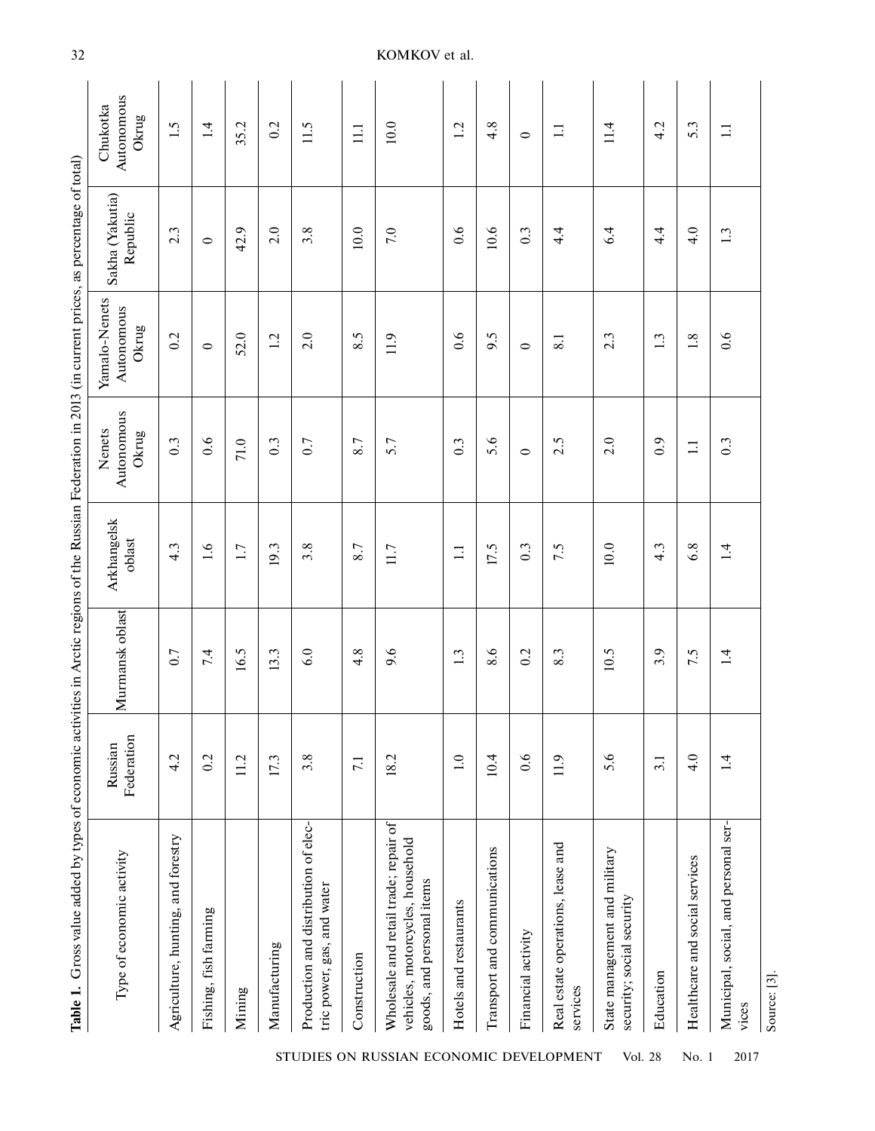| Gross value added by types of economic activities in Arctic regions of the Russian Federation in 2013 (in current prices, as percentage of total)<br>Table 1. |                       |                 |                       |                               |                                      |                             |                                 |
|---------------------------------------------------------------------------------------------------------------------------------------------------------------|-----------------------|-----------------|-----------------------|-------------------------------|--------------------------------------|-----------------------------|---------------------------------|
| Type of economic activity                                                                                                                                     | Federation<br>Russian | Murmansk oblast | Arkhangelsk<br>oblast | Autonomous<br>Nenets<br>Okrug | Yamalo-Nenets<br>Autonomous<br>Okrug | Sakha (Yakutia)<br>Republic | Autonomous<br>Chukotka<br>Okrug |
| Agriculture, hunting, and forestry                                                                                                                            | 4.2                   | 0.7             | 4.3                   | $0.\overline{3}$              | 0.2                                  | 2.3                         | $\ddot{1.5}$                    |
| Fishing, fish farming                                                                                                                                         | 0.2                   | 7.4             | 1.6                   | 0.6                           | $\circ$                              | $\circ$                     | $\overline{14}$                 |
| Mining                                                                                                                                                        | 11.2                  | 16.5            | 1.7                   | 71.0                          | 52.0                                 | 42.9                        | 35.2                            |
| Manufacturing                                                                                                                                                 | 17.3                  | 13.3            | 19.3                  | $0.\overline{3}$              | 12                                   | 2.0                         | 0.2                             |
| Production and distribution of elec-<br>tric power, gas, and water                                                                                            | 3.8                   | 6.0             | 3.8                   | 0.7                           | 2.0                                  | 3.8                         | 11.5                            |
| Construction                                                                                                                                                  | $\overline{71}$       | 4.8             | 8.7                   | 8.7                           | 8.5                                  | $10.0$                      | $\Xi$                           |
| Wholesale and retail trade; repair of<br>vehicles, motorcycles, household<br>goods, and personal items                                                        | 18.2                  | 9.6             | 11.7                  | 5.7                           | 11.9                                 | 7.0                         | $10.0\,$                        |
| Hotels and restaurants                                                                                                                                        | $\overline{1.0}$      | 1.3             | $\Box$                | 0.3                           | 0.6                                  | 0.6                         | 12                              |
| Transport and communications                                                                                                                                  | 10.4                  | 8.6             | 17.5                  | 5.6                           | 9.5                                  | $10.6\,$                    | 4.8                             |
| Financial activity                                                                                                                                            | 0.6                   | 0.2             | 0.3                   | $\circ$                       | $\circ$                              | $0.\overline{3}$            | $\circ$                         |
| Real estate operations, lease and<br>services                                                                                                                 | 11.9                  | 8.3             | 7.5                   | 2.5                           | 8.1                                  | 4.4                         | $\Xi$                           |
| State management and military<br>security; social security                                                                                                    | 5.6                   | 10.5            | $10.0$                | 2.0                           | 2.3                                  | 6.4                         | 11.4                            |
| Education                                                                                                                                                     | 3.1                   | 3.9             | 4.3                   | 0.9                           | 1.3                                  | 4.4                         | 4.2                             |
| Healthcare and social services                                                                                                                                | 4.0                   | 7.5             | 6.8                   | $\Box$                        | 1.8                                  | 4.0                         | 5.3                             |
| Municipal, social, and personal ser-<br>vices                                                                                                                 | 1.4                   | 1.4             | 1.4                   | 0.3                           | 0.6                                  | 1.3                         | $\Box$                          |
| Source: [3].                                                                                                                                                  |                       |                 |                       |                               |                                      |                             |                                 |

32

KOMKOV et al.

STUDIES ON RUSSIAN ECONOMIC DEVELOPMENT Vol. 28 No. 1 2017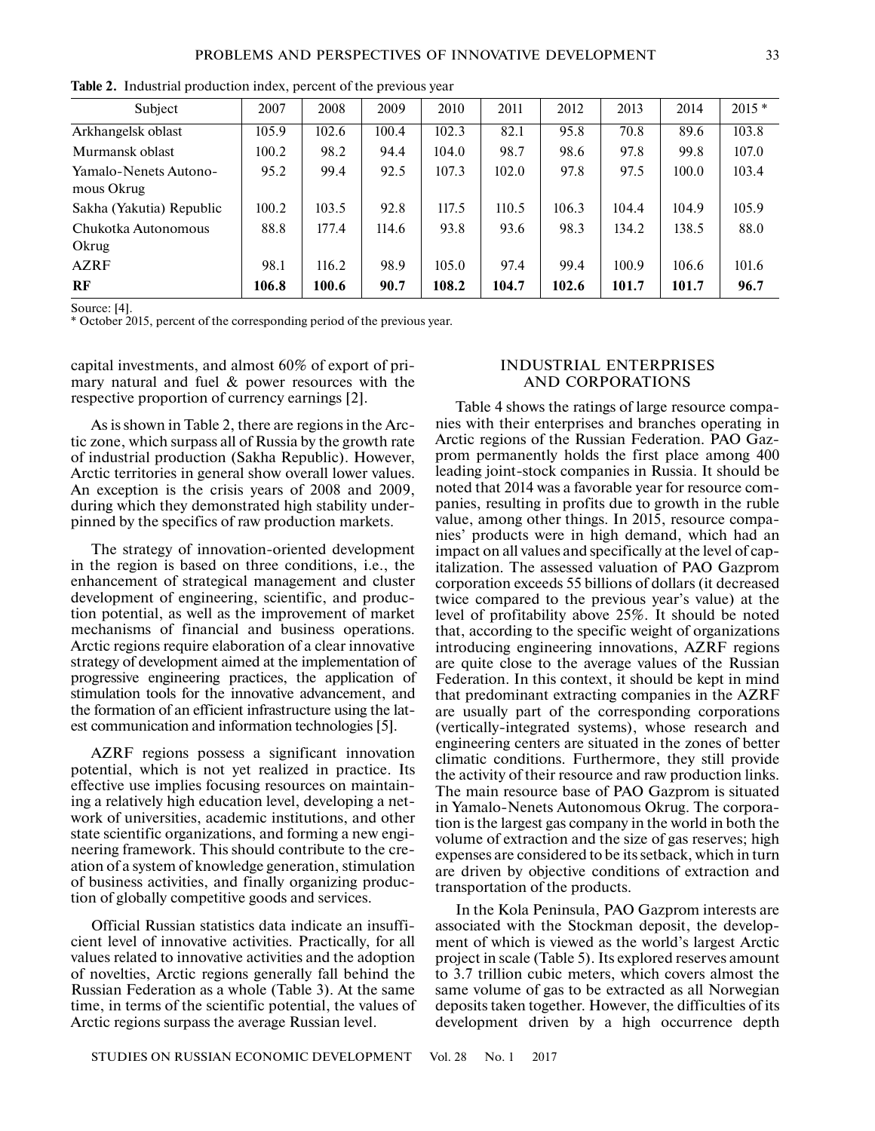| Subject                             | 2007  | 2008  | 2009  | 2010  | 2011  | 2012  | 2013  | 2014  | $2015*$ |
|-------------------------------------|-------|-------|-------|-------|-------|-------|-------|-------|---------|
| Arkhangelsk oblast                  | 105.9 | 102.6 | 100.4 | 102.3 | 82.1  | 95.8  | 70.8  | 89.6  | 103.8   |
| Murmansk oblast                     | 100.2 | 98.2  | 94.4  | 104.0 | 98.7  | 98.6  | 97.8  | 99.8  | 107.0   |
| Yamalo-Nenets Autono-<br>mous Okrug | 95.2  | 99.4  | 92.5  | 107.3 | 102.0 | 97.8  | 97.5  | 100.0 | 103.4   |
| Sakha (Yakutia) Republic            | 100.2 | 103.5 | 92.8  | 117.5 | 110.5 | 106.3 | 104.4 | 104.9 | 105.9   |
| Chukotka Autonomous<br>Okrug        | 88.8  | 177.4 | 114.6 | 93.8  | 93.6  | 98.3  | 134.2 | 138.5 | 88.0    |
| AZRF                                | 98.1  | 116.2 | 98.9  | 105.0 | 97.4  | 99.4  | 100.9 | 106.6 | 101.6   |
| RF                                  | 106.8 | 100.6 | 90.7  | 108.2 | 104.7 | 102.6 | 101.7 | 101.7 | 96.7    |

**Table 2.** Industrial production index, percent of the previous year

Source: [4].

\* October 2015, percent of the corresponding period of the previous year.

capital investments, and almost 60% of export of primary natural and fuel & power resources with the respective proportion of currency earnings [2].

As is shown in Table 2, there are regions in the Arctic zone, which surpass all of Russia by the growth rate of industrial production (Sakha Republic). However, Arctic territories in general show overall lower values. An exception is the crisis years of 2008 and 2009, during which they demonstrated high stability underpinned by the specifics of raw production markets.

The strategy of innovation-oriented development in the region is based on three conditions, i.e., the enhancement of strategical management and cluster development of engineering, scientific, and production potential, as well as the improvement of market mechanisms of financial and business operations. Arctic regions require elaboration of a clear innovative strategy of development aimed at the implementation of progressive engineering practices, the application of stimulation tools for the innovative advancement, and the formation of an efficient infrastructure using the latest communication and information technologies [5].

AZRF regions possess a significant innovation potential, which is not yet realized in practice. Its effective use implies focusing resources on maintaining a relatively high education level, developing a network of universities, academic institutions, and other state scientific organizations, and forming a new engineering framework. This should contribute to the creation of a system of knowledge generation, stimulation of business activities, and finally organizing production of globally competitive goods and services.

Official Russian statistics data indicate an insufficient level of innovative activities. Practically, for all values related to innovative activities and the adoption of novelties, Arctic regions generally fall behind the Russian Federation as a whole (Table 3). At the same time, in terms of the scientific potential, the values of Arctic regions surpass the average Russian level.

## INDUSTRIAL ENTERPRISES AND CORPORATIONS

Table 4 shows the ratings of large resource companies with their enterprises and branches operating in Arctic regions of the Russian Federation. PAO Gazprom permanently holds the first place among 400 leading joint-stock companies in Russia. It should be noted that 2014 was a favorable year for resource companies, resulting in profits due to growth in the ruble value, among other things. In 2015, resource companies' products were in high demand, which had an impact on all values and specifically at the level of capitalization. The assessed valuation of PAO Gazprom corporation exceeds 55 billions of dollars (it decreased twice compared to the previous year's value) at the level of profitability above 25%. It should be noted that, according to the specific weight of organizations introducing engineering innovations, AZRF regions are quite close to the average values of the Russian Federation. In this context, it should be kept in mind that predominant extracting companies in the AZRF are usually part of the corresponding corporations (vertically-integrated systems), whose research and engineering centers are situated in the zones of better climatic conditions. Furthermore, they still provide the activity of their resource and raw production links. The main resource base of PAO Gazprom is situated in Yamalo-Nenets Autonomous Okrug. The corporation is the largest gas company in the world in both the volume of extraction and the size of gas reserves; high expenses are considered to be its setback, which in turn are driven by objective conditions of extraction and transportation of the products.

In the Kola Peninsula, PAO Gazprom interests are associated with the Stockman deposit, the development of which is viewed as the world's largest Arctic project in scale (Table 5). Its explored reserves amount to 3.7 trillion cubic meters, which covers almost the same volume of gas to be extracted as all Norwegian deposits taken together. However, the difficulties of its development driven by a high occurrence depth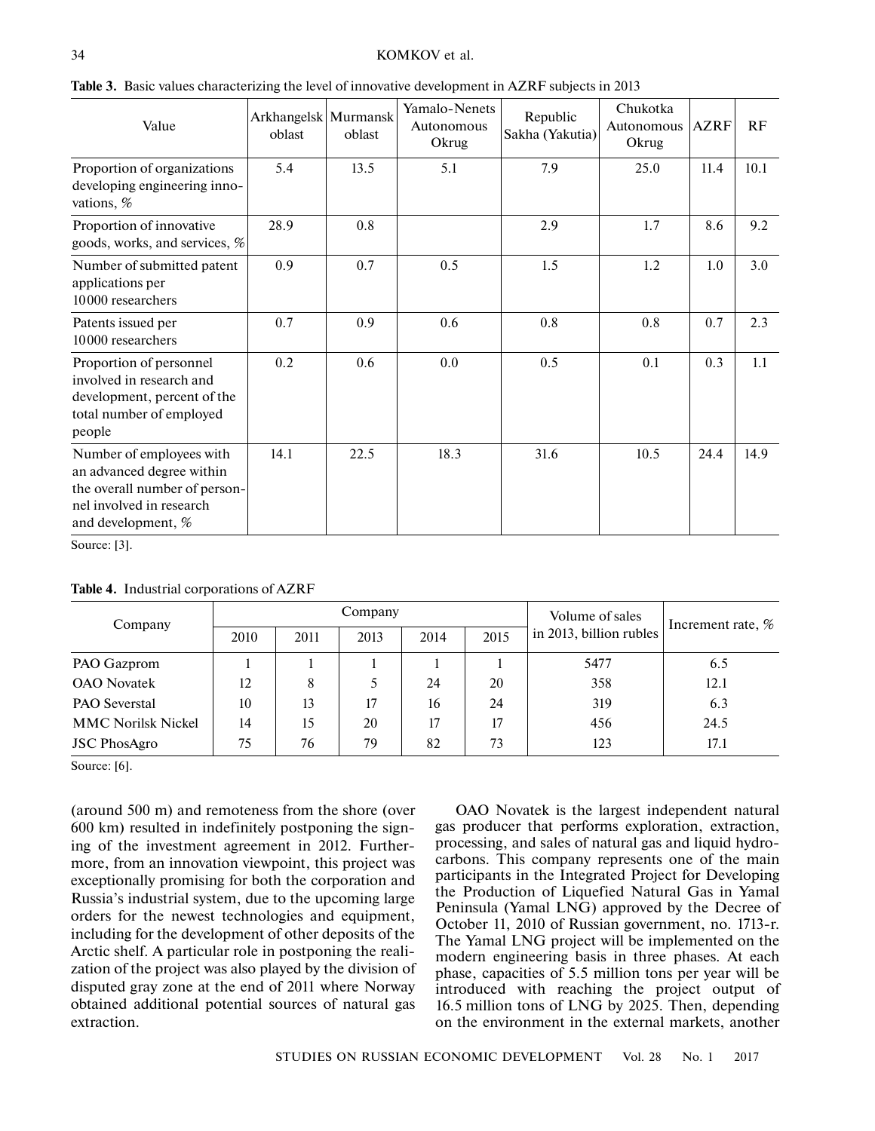**Table 3.** Basic values characterizing the level of innovative development in AZRF subjects in 2013

| Value                                                                                                                                    | Arkhangelsk Murmansk<br>oblast | oblast | Yamalo-Nenets<br>Autonomous<br>Okrug | Republic<br>Sakha (Yakutia) | Chukotka<br>Autonomous<br>Okrug | <b>AZRF</b> | RF   |
|------------------------------------------------------------------------------------------------------------------------------------------|--------------------------------|--------|--------------------------------------|-----------------------------|---------------------------------|-------------|------|
| Proportion of organizations<br>developing engineering inno-<br>vations, %                                                                | 5.4                            | 13.5   | 5.1                                  | 7.9                         | 25.0                            | 11.4        | 10.1 |
| Proportion of innovative<br>goods, works, and services, %                                                                                | 28.9                           | 0.8    |                                      | 2.9                         | 1.7                             | 8.6         | 9.2  |
| Number of submitted patent<br>applications per<br>10000 researchers                                                                      | 0.9                            | 0.7    | 0.5                                  | 1.5                         | 1.2                             | 1.0         | 3.0  |
| Patents issued per<br>10000 researchers                                                                                                  | 0.7                            | 0.9    | 0.6                                  | 0.8                         | 0.8                             | 0.7         | 2.3  |
| Proportion of personnel<br>involved in research and<br>development, percent of the<br>total number of employed<br>people                 | 0.2                            | 0.6    | 0.0                                  | 0.5                         | 0.1                             | 0.3         | 1.1  |
| Number of employees with<br>an advanced degree within<br>the overall number of person-<br>nel involved in research<br>and development, % | 14.1                           | 22.5   | 18.3                                 | 31.6                        | 10.5                            | 24.4        | 14.9 |

Source: [3].

**Table 4.** Industrial corporations of AZRF

| Company                   | Company |      |      |      |      | Volume of sales         | Increment rate, % |  |
|---------------------------|---------|------|------|------|------|-------------------------|-------------------|--|
|                           | 2010    | 2011 | 2013 | 2014 | 2015 | in 2013, billion rubles |                   |  |
| PAO Gazprom               |         |      |      |      |      | 5477                    | 6.5               |  |
| <b>OAO</b> Novatek        | 12      | 8    |      | 24   | 20   | 358                     | 12.1              |  |
| <b>PAO</b> Severstal      | 10      | 13   | 17   | 16   | 24   | 319                     | 6.3               |  |
| <b>MMC Norilsk Nickel</b> | 14      | 15   | 20   | 17   | 17   | 456                     | 24.5              |  |
| <b>JSC PhosAgro</b>       | 75      | 76   | 79   | 82   | 73   | 123                     | 17.1              |  |

Source: [6].

(around 500 m) and remoteness from the shore (over 600 km) resulted in indefinitely postponing the signing of the investment agreement in 2012. Furthermore, from an innovation viewpoint, this project was exceptionally promising for both the corporation and Russia's industrial system, due to the upcoming large orders for the newest technologies and equipment, including for the development of other deposits of the Arctic shelf. A particular role in postponing the realization of the project was also played by the division of disputed gray zone at the end of 2011 where Norway obtained additional potential sources of natural gas extraction.

OAO Novatek is the largest independent natural gas producer that performs exploration, extraction, processing, and sales of natural gas and liquid hydrocarbons. This company represents one of the main participants in the Integrated Project for Developing the Production of Liquefied Natural Gas in Yamal Peninsula (Yamal LNG) approved by the Decree of October 11, 2010 of Russian government, no. 1713-r. The Yamal LNG project will be implemented on the modern engineering basis in three phases. At each phase, capacities of 5.5 million tons per year will be introduced with reaching the project output of 16.5 million tons of LNG by 2025. Then, depending on the environment in the external markets, another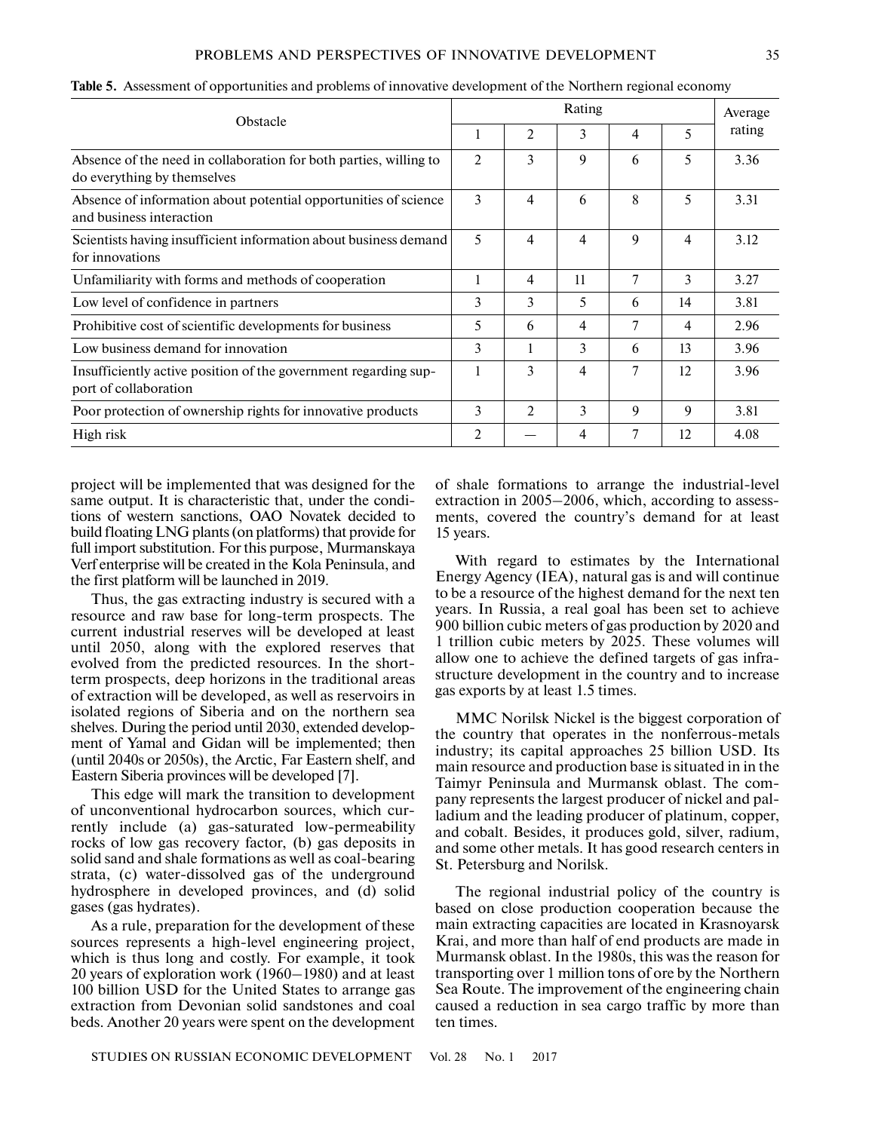#### PROBLEMS AND PERSPECTIVES OF INNOVATIVE DEVELOPMENT 35

| Obstacle                                                                                         |   | Rating |    |   |    |        |  |
|--------------------------------------------------------------------------------------------------|---|--------|----|---|----|--------|--|
|                                                                                                  |   | 2      | 3  | 4 | 5  | rating |  |
| Absence of the need in collaboration for both parties, willing to<br>do everything by themselves | 2 | 3      | 9  | 6 | 5  | 3.36   |  |
| Absence of information about potential opportunities of science<br>and business interaction      | 3 | 4      | 6  | 8 | 5  | 3.31   |  |
| Scientists having insufficient information about business demand<br>for innovations              | 5 | 4      | 4  | 9 | 4  | 3.12   |  |
| Unfamiliarity with forms and methods of cooperation                                              |   | 4      | 11 | 7 | 3  | 3.27   |  |
| Low level of confidence in partners                                                              | 3 | 3      | 5  | 6 | 14 | 3.81   |  |
| Prohibitive cost of scientific developments for business                                         | 5 | 6      | 4  | 7 | 4  | 2.96   |  |
| Low business demand for innovation                                                               | 3 |        | 3  | 6 | 13 | 3.96   |  |
| Insufficiently active position of the government regarding sup-<br>port of collaboration         |   | 3      | 4  | 7 | 12 | 3.96   |  |
| Poor protection of ownership rights for innovative products                                      | 3 | 2      | 3  | 9 | 9  | 3.81   |  |
| High risk                                                                                        | 2 |        | 4  | 7 | 12 | 4.08   |  |

**Table 5.** Assessment of opportunities and problems of innovative development of the Northern regional economy

project will be implemented that was designed for the same output. It is characteristic that, under the conditions of western sanctions, OAO Novatek decided to build floating LNG plants (on platforms) that provide for full import substitution. For this purpose, Murmanskaya Verf enterprise will be created in the Kola Peninsula, and the first platform will be launched in 2019.

Thus, the gas extracting industry is secured with a resource and raw base for long-term prospects. The current industrial reserves will be developed at least until 2050, along with the explored reserves that evolved from the predicted resources. In the shortterm prospects, deep horizons in the traditional areas of extraction will be developed, as well as reservoirs in isolated regions of Siberia and on the northern sea shelves. During the period until 2030, extended development of Yamal and Gidan will be implemented; then (until 2040s or 2050s), the Arctic, Far Eastern shelf, and Eastern Siberia provinces will be developed [7].

This edge will mark the transition to development of unconventional hydrocarbon sources, which currently include (a) gas-saturated low-permeability rocks of low gas recovery factor, (b) gas deposits in solid sand and shale formations as well as coal-bearing strata, (c) water-dissolved gas of the underground hydrosphere in developed provinces, and (d) solid gases (gas hydrates).

As a rule, preparation for the development of these sources represents a high-level engineering project, which is thus long and costly. For example, it took 20 years of exploration work (1960–1980) and at least 100 billion USD for the United States to arrange gas extraction from Devonian solid sandstones and coal beds. Another 20 years were spent on the development of shale formations to arrange the industrial-level extraction in 2005–2006, which, according to assessments, covered the country's demand for at least 15 years.

With regard to estimates by the International Energy Agency (IEA), natural gas is and will continue to be a resource of the highest demand for the next ten years. In Russia, a real goal has been set to achieve 900 billion cubic meters of gas production by 2020 and 1 trillion cubic meters by 2025. These volumes will allow one to achieve the defined targets of gas infrastructure development in the country and to increase gas exports by at least 1.5 times.

MMC Norilsk Nickel is the biggest corporation of the country that operates in the nonferrous-metals industry; its capital approaches 25 billion USD. Its main resource and production base is situated in in the Taimyr Peninsula and Murmansk oblast. The company represents the largest producer of nickel and palladium and the leading producer of platinum, copper, and cobalt. Besides, it produces gold, silver, radium, and some other metals. It has good research centers in St. Petersburg and Norilsk.

The regional industrial policy of the country is based on close production cooperation because the main extracting capacities are located in Krasnoyarsk Krai, and more than half of end products are made in Murmansk oblast. In the 1980s, this was the reason for transporting over 1 million tons of ore by the Northern Sea Route. The improvement of the engineering chain caused a reduction in sea cargo traffic by more than ten times.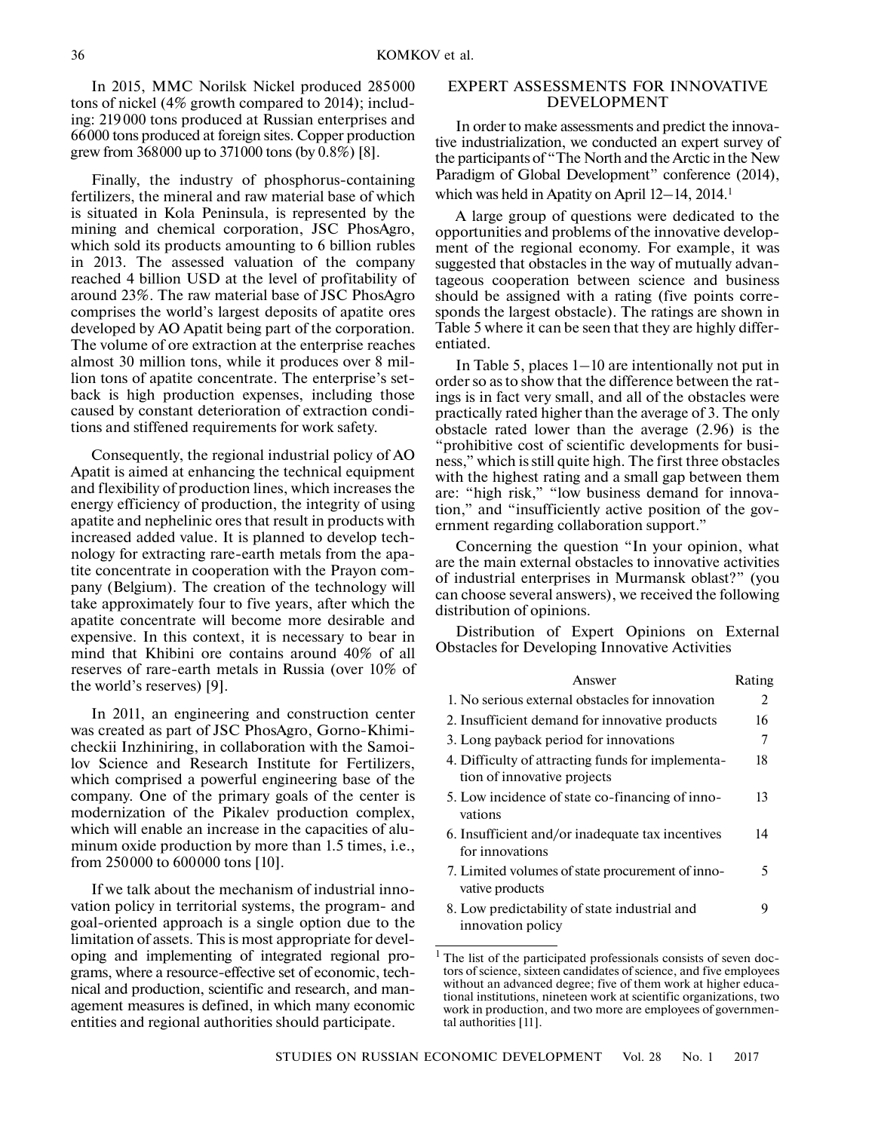In 2015, MMC Norilsk Nickel produced 285000 tons of nickel (4% growth compared to 2014); including: 219 000 tons produced at Russian enterprises and 66000 tons produced at foreign sites. Copper production grew from 368000 up to 371000 tons (by 0.8%) [8].

Finally, the industry of phosphorus-containing fertilizers, the mineral and raw material base of which is situated in Kola Peninsula, is represented by the mining and chemical corporation, JSC PhosAgro, which sold its products amounting to 6 billion rubles in 2013. The assessed valuation of the company reached 4 billion USD at the level of profitability of around 23%. The raw material base of JSC PhosAgro comprises the world's largest deposits of apatite ores developed by AO Apatit being part of the corporation. The volume of ore extraction at the enterprise reaches almost 30 million tons, while it produces over 8 million tons of apatite concentrate. The enterprise's setback is high production expenses, including those caused by constant deterioration of extraction conditions and stiffened requirements for work safety.

Consequently, the regional industrial policy of AO Apatit is aimed at enhancing the technical equipment and flexibility of production lines, which increases the energy efficiency of production, the integrity of using apatite and nephelinic ores that result in products with increased added value. It is planned to develop technology for extracting rare-earth metals from the apatite concentrate in cooperation with the Prауоn company (Belgium). The creation of the technology will take approximately four to five years, after which the apatite concentrate will become more desirable and expensive. In this context, it is necessary to bear in mind that Khibini ore contains around 40% of all reserves of rare-earth metals in Russia (over 10% of the world's reserves) [9].

In 2011, an engineering and construction center was created as part of JSC PhosAgro, Gorno-Khimicheckii Inzhiniring, in collaboration with the Samoilov Science and Research Institute for Fertilizers, which comprised a powerful engineering base of the company. One of the primary goals of the center is modernization of the Pikalev production complex, which will enable an increase in the capacities of aluminum oxide production by more than 1.5 times, i.e., from 250000 to 600000 tons [10].

If we talk about the mechanism of industrial innovation policy in territorial systems, the program- and goal-oriented approach is a single option due to the limitation of assets. This is most appropriate for developing and implementing of integrated regional programs, where a resource-effective set of economic, technical and production, scientific and research, and management measures is defined, in which many economic entities and regional authorities should participate.

## EXPERT ASSESSMENTS FOR INNOVATIVE DEVELOPMENT

In order to make assessments and predict the innovative industrialization, we conducted an expert survey of the participants of "The North and the Arctic in the New Paradigm of Global Development" conference (2014), which was held in Apatity on April  $12-14$ ,  $2014$ <sup>1</sup>

A large group of questions were dedicated to the opportunities and problems of the innovative development of the regional economy. For example, it was suggested that obstacles in the way of mutually advantageous cooperation between science and business should be assigned with a rating (five points corresponds the largest obstacle). The ratings are shown in Table 5 where it can be seen that they are highly differentiated.

In Table 5, places 1–10 are intentionally not put in order so as to show that the difference between the ratings is in fact very small, and all of the obstacles were practically rated higher than the average of 3. The only obstacle rated lower than the average (2.96) is the "prohibitive cost of scientific developments for business," which is still quite high. The first three obstacles with the highest rating and a small gap between them are: "high risk," "low business demand for innovation," and "insufficiently active position of the government regarding collaboration support."

Concerning the question "In your opinion, what are the main external obstacles to innovative activities of industrial enterprises in Murmansk oblast?" (you can choose several answers), we received the following distribution of opinions.

Distribution of Expert Opinions on External Obstacles for Developing Innovative Activities

| Answer                                                                           | Rating        |
|----------------------------------------------------------------------------------|---------------|
| 1. No serious external obstacles for innovation                                  | $\mathcal{L}$ |
| 2. Insufficient demand for innovative products                                   | 16            |
| 3. Long payback period for innovations                                           | 7             |
| 4. Difficulty of attracting funds for implementa-<br>tion of innovative projects | 18            |
| 5. Low incidence of state co-financing of inno-<br>vations                       | 13            |
| 6. Insufficient and/or inadequate tax incentives<br>for innovations              | 14            |
| 7. Limited volumes of state procurement of inno-<br>vative products              | 5             |
| 8. Low predictability of state industrial and<br>innovation policy               |               |

<sup>&</sup>lt;sup>1</sup> The list of the participated professionals consists of seven doctors of science, sixteen candidates of science, and five employees without an advanced degree; five of them work at higher educational institutions, nineteen work at scientific organizations, two work in production, and two more are employees of governmental authorities [11].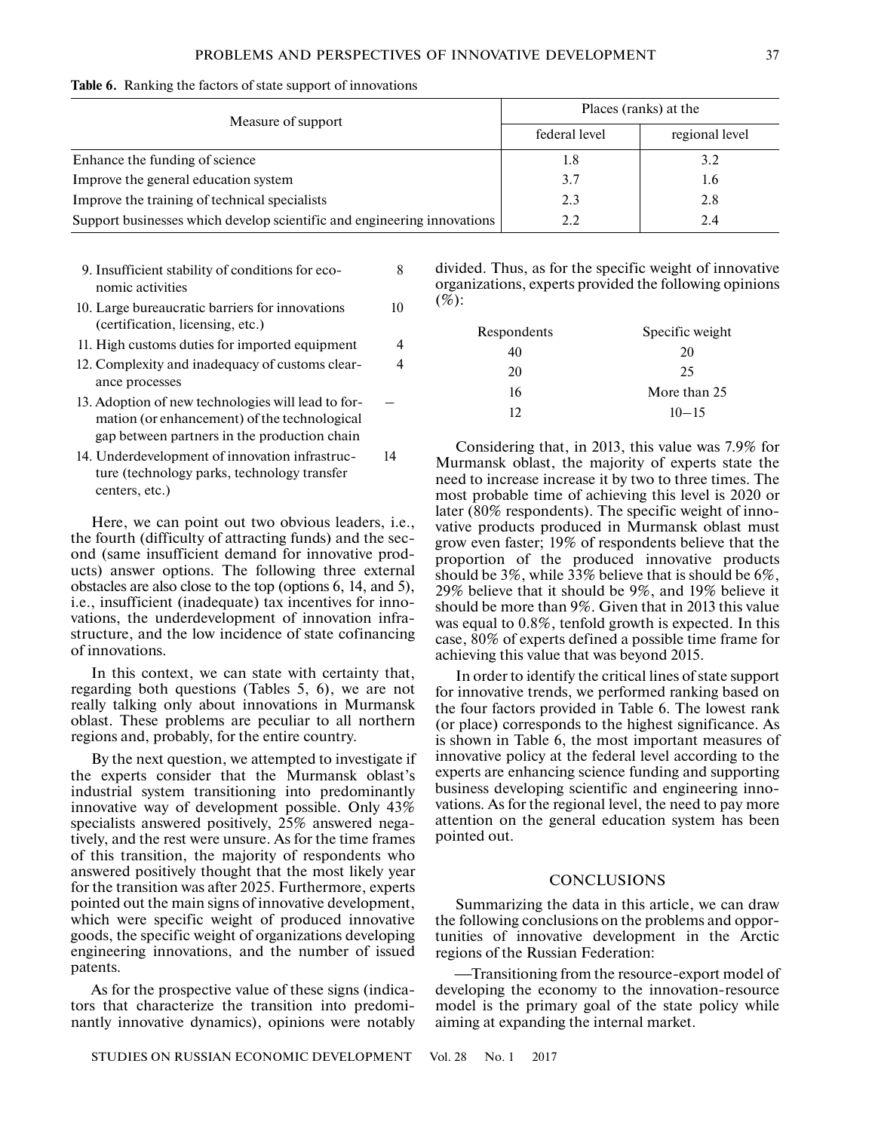| Table 6. Ranking the factors of state support of innovations |  |
|--------------------------------------------------------------|--|
|--------------------------------------------------------------|--|

| Measure of support                                                      | Places (ranks) at the |                |  |  |
|-------------------------------------------------------------------------|-----------------------|----------------|--|--|
|                                                                         | federal level         | regional level |  |  |
| Enhance the funding of science                                          | 1.8                   | 3.2            |  |  |
| Improve the general education system                                    | 3.7                   | 1.6            |  |  |
| Improve the training of technical specialists                           | 2.3                   | 2.8            |  |  |
| Support businesses which develop scientific and engineering innovations | 2.2                   | 2.4            |  |  |

| 9. Insufficient stability of conditions for eco-<br>nomic activities                                                                               |    |
|----------------------------------------------------------------------------------------------------------------------------------------------------|----|
| 10. Large bureaucratic barriers for innovations<br>(certification, licensing, etc.)                                                                | 10 |
| 11. High customs duties for imported equipment                                                                                                     | 4  |
| 12. Complexity and inadequacy of customs clear-<br>ance processes                                                                                  | 4  |
| 13. Adoption of new technologies will lead to for-<br>mation (or enhancement) of the technological<br>gap between partners in the production chain |    |

14. Underdevelopment of innovation infrastructure (technology parks, technology transfer centers, etc.) 14

Here, we can point out two obvious leaders, i.e., the fourth (difficulty of attracting funds) and the second (same insufficient demand for innovative products) answer options. The following three external obstacles are also close to the top (options 6, 14, and 5), i.e., insufficient (inadequate) tax incentives for innovations, the underdevelopment of innovation infrastructure, and the low incidence of state cofinancing of innovations.

In this context, we can state with certainty that, regarding both questions (Tables 5, 6), we are not really talking only about innovations in Murmansk oblast. These problems are peculiar to all northern regions and, probably, for the entire country.

By the next question, we attempted to investigate if the experts consider that the Murmansk oblast's industrial system transitioning into predominantly innovative way of development possible. Only 43% specialists answered positively, 25% answered negatively, and the rest were unsure. As for the time frames of this transition, the majority of respondents who answered positively thought that the most likely year for the transition was after 2025. Furthermore, experts pointed out the main signs of innovative development, which were specific weight of produced innovative goods, the specific weight of organizations developing engineering innovations, and the number of issued patents.

As for the prospective value of these signs (indicators that characterize the transition into predominantly innovative dynamics), opinions were notably divided. Thus, as for the specific weight of innovative organizations, experts provided the following opinions  $(\%)$ :

| Respondents | Specific weight |
|-------------|-----------------|
| 40          | 20              |
| 20          | 25              |
| 16          | More than 25    |
| 12          | $10 - 15$       |

Considering that, in 2013, this value was 7.9% for Murmansk oblast, the majority of experts state the need to increase increase it by two to three times. The most probable time of achieving this level is 2020 or later (80% respondents). The specific weight of innovative products produced in Murmansk oblast must grow even faster; 19% of respondents believe that the proportion of the produced innovative products should be 3%, while 33% believe that is should be 6%, 29% believe that it should be 9%, and 19% believe it should be more than 9%. Given that in 2013 this value was equal to 0.8%, tenfold growth is expected. In this case, 80% of experts defined a possible time frame for achieving this value that was beyond 2015.

In order to identify the critical lines of state support for innovative trends, we performed ranking based on the four factors provided in Table 6. The lowest rank (or place) corresponds to the highest significance. As is shown in Table 6, the most important measures of innovative policy at the federal level according to the experts are enhancing science funding and supporting business developing scientific and engineering innovations. As for the regional level, the need to pay more attention on the general education system has been pointed out.

## **CONCLUSIONS**

Summarizing the data in this article, we can draw the following conclusions on the problems and opportunities of innovative development in the Arctic regions of the Russian Federation:

⎯Transitioning from the resource-export model of developing the economy to the innovation-resource model is the primary goal of the state policy while aiming at expanding the internal market.